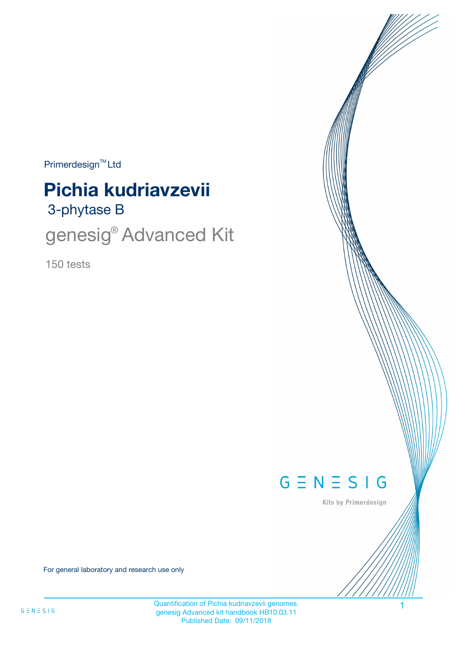$Primerdesign<sup>™</sup>Ltd$ 

# 3-phytase B **Pichia kudriavzevii**

genesig<sup>®</sup> Advanced Kit

150 tests



Kits by Primerdesign

For general laboratory and research use only

Quantification of Pichia kudriavzevii genomes. 1 genesig Advanced kit handbook HB10.03.11 Published Date: 09/11/2018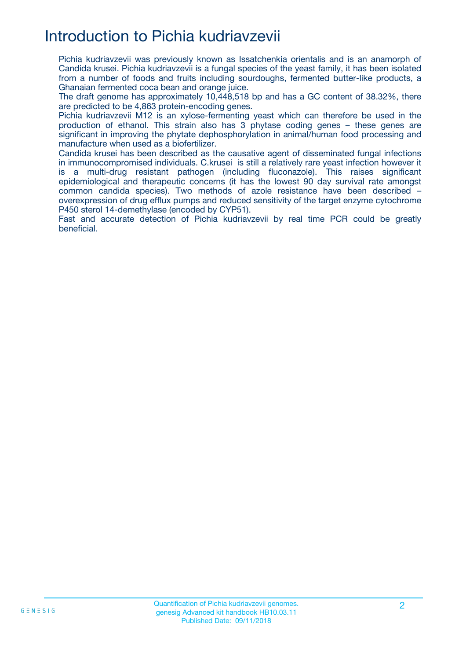## Introduction to Pichia kudriavzevii

Pichia kudriavzevii was previously known as Issatchenkia orientalis and is an anamorph of Candida krusei. Pichia kudriavzevii is a fungal species of the yeast family, it has been isolated from a number of foods and fruits including sourdoughs, fermented butter-like products, a Ghanaian fermented coca bean and orange juice.

The draft genome has approximately 10,448,518 bp and has a GC content of 38.32%, there are predicted to be 4,863 protein-encoding genes.

Pichia kudriavzevii M12 is an xylose-fermenting yeast which can therefore be used in the production of ethanol. This strain also has 3 phytase coding genes – these genes are significant in improving the phytate dephosphorylation in animal/human food processing and manufacture when used as a biofertilizer.

Candida krusei has been described as the causative agent of disseminated fungal infections in immunocompromised individuals. C.krusei is still a relatively rare yeast infection however it is a multi-drug resistant pathogen (including fluconazole). This raises significant epidemiological and therapeutic concerns (it has the lowest 90 day survival rate amongst common candida species). Two methods of azole resistance have been described – overexpression of drug efflux pumps and reduced sensitivity of the target enzyme cytochrome P450 sterol 14-demethylase (encoded by CYP51).

Fast and accurate detection of Pichia kudriavzevii by real time PCR could be greatly beneficial.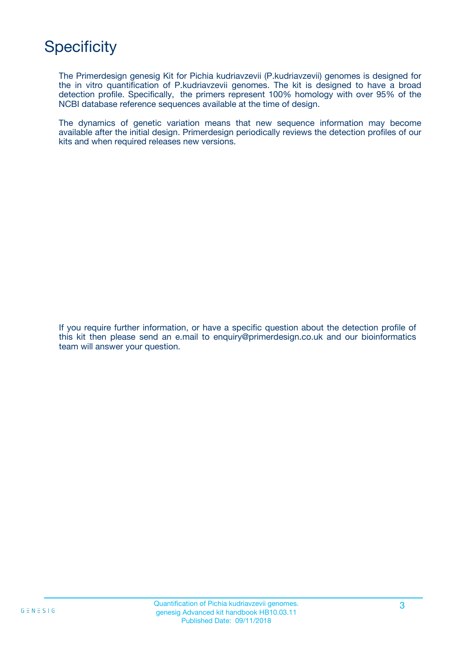## **Specificity**

The Primerdesign genesig Kit for Pichia kudriavzevii (P.kudriavzevii) genomes is designed for the in vitro quantification of P.kudriavzevii genomes. The kit is designed to have a broad detection profile. Specifically, the primers represent 100% homology with over 95% of the NCBI database reference sequences available at the time of design.

The dynamics of genetic variation means that new sequence information may become available after the initial design. Primerdesign periodically reviews the detection profiles of our kits and when required releases new versions.

If you require further information, or have a specific question about the detection profile of this kit then please send an e.mail to enquiry@primerdesign.co.uk and our bioinformatics team will answer your question.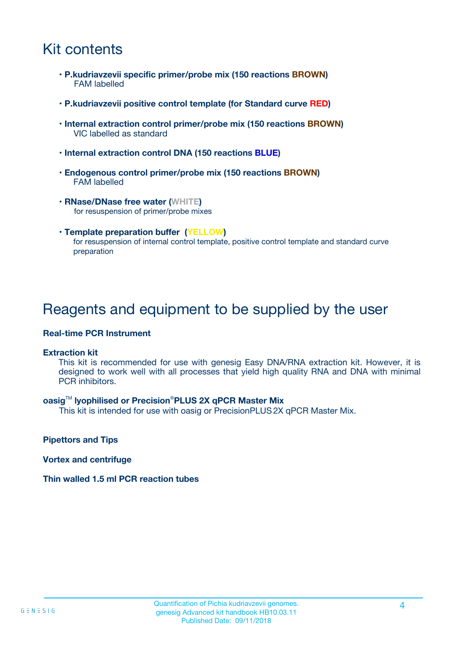## Kit contents

- **P.kudriavzevii specific primer/probe mix (150 reactions BROWN)** FAM labelled
- **P.kudriavzevii positive control template (for Standard curve RED)**
- **Internal extraction control primer/probe mix (150 reactions BROWN)** VIC labelled as standard
- **Internal extraction control DNA (150 reactions BLUE)**
- **Endogenous control primer/probe mix (150 reactions BROWN)** FAM labelled
- **RNase/DNase free water (WHITE)** for resuspension of primer/probe mixes
- **Template preparation buffer (YELLOW)** for resuspension of internal control template, positive control template and standard curve preparation

### Reagents and equipment to be supplied by the user

#### **Real-time PCR Instrument**

#### **Extraction kit**

This kit is recommended for use with genesig Easy DNA/RNA extraction kit. However, it is designed to work well with all processes that yield high quality RNA and DNA with minimal PCR inhibitors.

#### **oasig**TM **lyophilised or Precision**®**PLUS 2X qPCR Master Mix**

This kit is intended for use with oasig or PrecisionPLUS2X qPCR Master Mix.

**Pipettors and Tips**

**Vortex and centrifuge**

#### **Thin walled 1.5 ml PCR reaction tubes**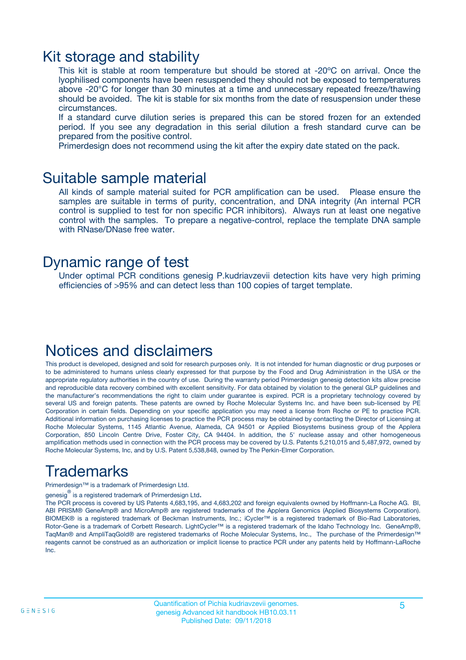### Kit storage and stability

This kit is stable at room temperature but should be stored at -20ºC on arrival. Once the lyophilised components have been resuspended they should not be exposed to temperatures above -20°C for longer than 30 minutes at a time and unnecessary repeated freeze/thawing should be avoided. The kit is stable for six months from the date of resuspension under these circumstances.

If a standard curve dilution series is prepared this can be stored frozen for an extended period. If you see any degradation in this serial dilution a fresh standard curve can be prepared from the positive control.

Primerdesign does not recommend using the kit after the expiry date stated on the pack.

### Suitable sample material

All kinds of sample material suited for PCR amplification can be used. Please ensure the samples are suitable in terms of purity, concentration, and DNA integrity (An internal PCR control is supplied to test for non specific PCR inhibitors). Always run at least one negative control with the samples. To prepare a negative-control, replace the template DNA sample with RNase/DNase free water.

### Dynamic range of test

Under optimal PCR conditions genesig P.kudriavzevii detection kits have very high priming efficiencies of >95% and can detect less than 100 copies of target template.

## Notices and disclaimers

This product is developed, designed and sold for research purposes only. It is not intended for human diagnostic or drug purposes or to be administered to humans unless clearly expressed for that purpose by the Food and Drug Administration in the USA or the appropriate regulatory authorities in the country of use. During the warranty period Primerdesign genesig detection kits allow precise and reproducible data recovery combined with excellent sensitivity. For data obtained by violation to the general GLP guidelines and the manufacturer's recommendations the right to claim under guarantee is expired. PCR is a proprietary technology covered by several US and foreign patents. These patents are owned by Roche Molecular Systems Inc. and have been sub-licensed by PE Corporation in certain fields. Depending on your specific application you may need a license from Roche or PE to practice PCR. Additional information on purchasing licenses to practice the PCR process may be obtained by contacting the Director of Licensing at Roche Molecular Systems, 1145 Atlantic Avenue, Alameda, CA 94501 or Applied Biosystems business group of the Applera Corporation, 850 Lincoln Centre Drive, Foster City, CA 94404. In addition, the 5' nuclease assay and other homogeneous amplification methods used in connection with the PCR process may be covered by U.S. Patents 5,210,015 and 5,487,972, owned by Roche Molecular Systems, Inc, and by U.S. Patent 5,538,848, owned by The Perkin-Elmer Corporation.

## Trademarks

Primerdesign™ is a trademark of Primerdesign Ltd.

genesig $^\circledR$  is a registered trademark of Primerdesign Ltd.

The PCR process is covered by US Patents 4,683,195, and 4,683,202 and foreign equivalents owned by Hoffmann-La Roche AG. BI, ABI PRISM® GeneAmp® and MicroAmp® are registered trademarks of the Applera Genomics (Applied Biosystems Corporation). BIOMEK® is a registered trademark of Beckman Instruments, Inc.; iCycler™ is a registered trademark of Bio-Rad Laboratories, Rotor-Gene is a trademark of Corbett Research. LightCycler™ is a registered trademark of the Idaho Technology Inc. GeneAmp®, TaqMan® and AmpliTaqGold® are registered trademarks of Roche Molecular Systems, Inc., The purchase of the Primerdesign™ reagents cannot be construed as an authorization or implicit license to practice PCR under any patents held by Hoffmann-LaRoche Inc.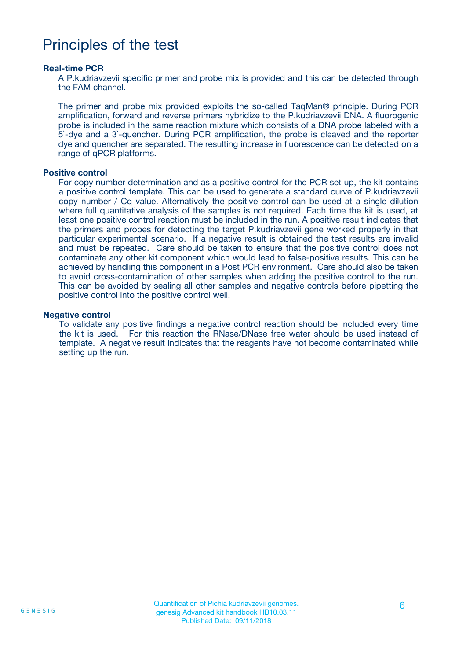### Principles of the test

#### **Real-time PCR**

A P.kudriavzevii specific primer and probe mix is provided and this can be detected through the FAM channel.

The primer and probe mix provided exploits the so-called TaqMan® principle. During PCR amplification, forward and reverse primers hybridize to the P.kudriavzevii DNA. A fluorogenic probe is included in the same reaction mixture which consists of a DNA probe labeled with a 5`-dye and a 3`-quencher. During PCR amplification, the probe is cleaved and the reporter dye and quencher are separated. The resulting increase in fluorescence can be detected on a range of qPCR platforms.

#### **Positive control**

For copy number determination and as a positive control for the PCR set up, the kit contains a positive control template. This can be used to generate a standard curve of P.kudriavzevii copy number / Cq value. Alternatively the positive control can be used at a single dilution where full quantitative analysis of the samples is not required. Each time the kit is used, at least one positive control reaction must be included in the run. A positive result indicates that the primers and probes for detecting the target P.kudriavzevii gene worked properly in that particular experimental scenario. If a negative result is obtained the test results are invalid and must be repeated. Care should be taken to ensure that the positive control does not contaminate any other kit component which would lead to false-positive results. This can be achieved by handling this component in a Post PCR environment. Care should also be taken to avoid cross-contamination of other samples when adding the positive control to the run. This can be avoided by sealing all other samples and negative controls before pipetting the positive control into the positive control well.

#### **Negative control**

To validate any positive findings a negative control reaction should be included every time the kit is used. For this reaction the RNase/DNase free water should be used instead of template. A negative result indicates that the reagents have not become contaminated while setting up the run.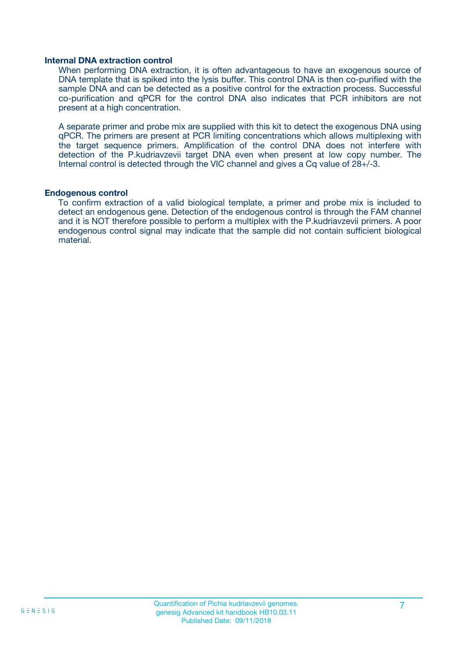#### **Internal DNA extraction control**

When performing DNA extraction, it is often advantageous to have an exogenous source of DNA template that is spiked into the lysis buffer. This control DNA is then co-purified with the sample DNA and can be detected as a positive control for the extraction process. Successful co-purification and qPCR for the control DNA also indicates that PCR inhibitors are not present at a high concentration.

A separate primer and probe mix are supplied with this kit to detect the exogenous DNA using qPCR. The primers are present at PCR limiting concentrations which allows multiplexing with the target sequence primers. Amplification of the control DNA does not interfere with detection of the P.kudriavzevii target DNA even when present at low copy number. The Internal control is detected through the VIC channel and gives a Cq value of 28+/-3.

#### **Endogenous control**

To confirm extraction of a valid biological template, a primer and probe mix is included to detect an endogenous gene. Detection of the endogenous control is through the FAM channel and it is NOT therefore possible to perform a multiplex with the P.kudriavzevii primers. A poor endogenous control signal may indicate that the sample did not contain sufficient biological material.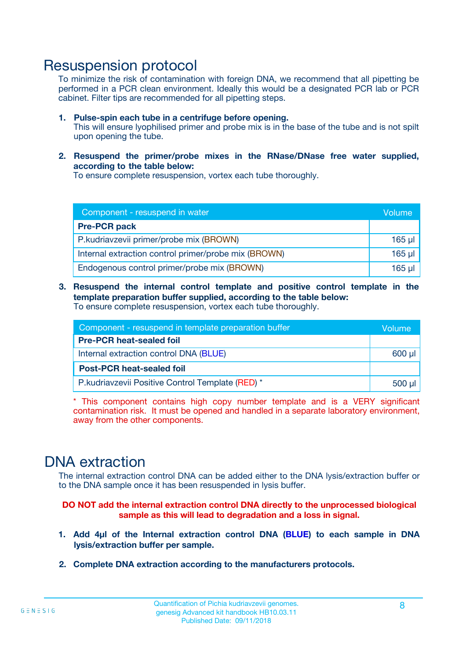### Resuspension protocol

To minimize the risk of contamination with foreign DNA, we recommend that all pipetting be performed in a PCR clean environment. Ideally this would be a designated PCR lab or PCR cabinet. Filter tips are recommended for all pipetting steps.

- **1. Pulse-spin each tube in a centrifuge before opening.** This will ensure lyophilised primer and probe mix is in the base of the tube and is not spilt upon opening the tube.
- **2. Resuspend the primer/probe mixes in the RNase/DNase free water supplied, according to the table below:**

To ensure complete resuspension, vortex each tube thoroughly.

| Component - resuspend in water                       |          |  |
|------------------------------------------------------|----------|--|
| <b>Pre-PCR pack</b>                                  |          |  |
| P.kudriavzevii primer/probe mix (BROWN)              | $165$ µl |  |
| Internal extraction control primer/probe mix (BROWN) | $165$ µl |  |
| Endogenous control primer/probe mix (BROWN)          | $165$ µl |  |

**3. Resuspend the internal control template and positive control template in the template preparation buffer supplied, according to the table below:** To ensure complete resuspension, vortex each tube thoroughly.

| Component - resuspend in template preparation buffer |  |  |  |
|------------------------------------------------------|--|--|--|
| <b>Pre-PCR heat-sealed foil</b>                      |  |  |  |
| Internal extraction control DNA (BLUE)               |  |  |  |
| <b>Post-PCR heat-sealed foil</b>                     |  |  |  |
| P.kudriavzevii Positive Control Template (RED) *     |  |  |  |

\* This component contains high copy number template and is a VERY significant contamination risk. It must be opened and handled in a separate laboratory environment, away from the other components.

### DNA extraction

The internal extraction control DNA can be added either to the DNA lysis/extraction buffer or to the DNA sample once it has been resuspended in lysis buffer.

**DO NOT add the internal extraction control DNA directly to the unprocessed biological sample as this will lead to degradation and a loss in signal.**

- **1. Add 4µl of the Internal extraction control DNA (BLUE) to each sample in DNA lysis/extraction buffer per sample.**
- **2. Complete DNA extraction according to the manufacturers protocols.**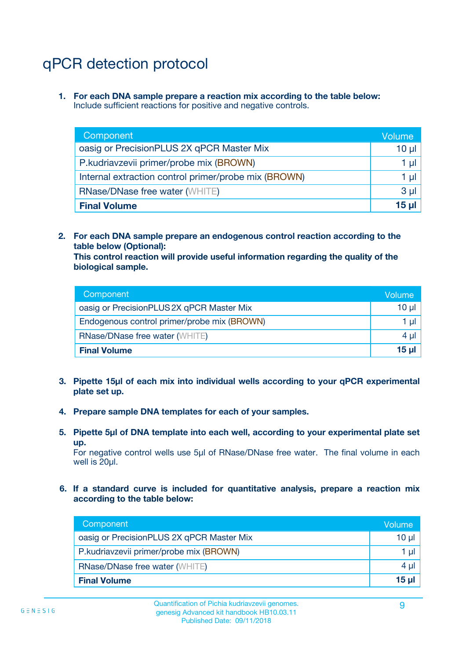## qPCR detection protocol

**1. For each DNA sample prepare a reaction mix according to the table below:** Include sufficient reactions for positive and negative controls.

| Component                                            | Volume   |
|------------------------------------------------------|----------|
| oasig or PrecisionPLUS 2X qPCR Master Mix            | $10 \mu$ |
| P.kudriavzevii primer/probe mix (BROWN)              | 1 µI     |
| Internal extraction control primer/probe mix (BROWN) | 1 µl     |
| <b>RNase/DNase free water (WHITE)</b>                | $3 \mu$  |
| <b>Final Volume</b>                                  | 15 µl    |

**2. For each DNA sample prepare an endogenous control reaction according to the table below (Optional):**

**This control reaction will provide useful information regarding the quality of the biological sample.**

| Component                                   | Volume   |
|---------------------------------------------|----------|
| oasig or PrecisionPLUS 2X qPCR Master Mix   | $10 \mu$ |
| Endogenous control primer/probe mix (BROWN) | 1 µI     |
| <b>RNase/DNase free water (WHITE)</b>       | $4 \mu$  |
| <b>Final Volume</b>                         | 15 µl    |

- **3. Pipette 15µl of each mix into individual wells according to your qPCR experimental plate set up.**
- **4. Prepare sample DNA templates for each of your samples.**
- **5. Pipette 5µl of DNA template into each well, according to your experimental plate set up.**

For negative control wells use 5µl of RNase/DNase free water. The final volume in each well is 20ul.

**6. If a standard curve is included for quantitative analysis, prepare a reaction mix according to the table below:**

| Component                                 | Volume  |
|-------------------------------------------|---------|
| oasig or PrecisionPLUS 2X qPCR Master Mix | 10 µl   |
| P.kudriavzevii primer/probe mix (BROWN)   | 1 µI    |
| <b>RNase/DNase free water (WHITE)</b>     | $4 \mu$ |
| <b>Final Volume</b>                       | 15 µl   |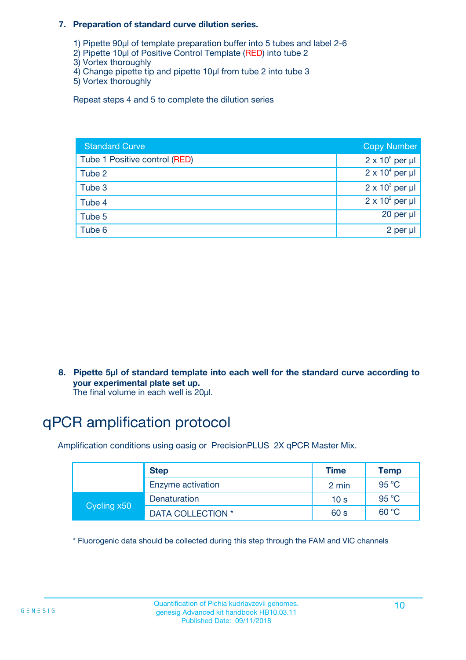#### **7. Preparation of standard curve dilution series.**

- 1) Pipette 90µl of template preparation buffer into 5 tubes and label 2-6
- 2) Pipette 10µl of Positive Control Template (RED) into tube 2
- 3) Vortex thoroughly
- 4) Change pipette tip and pipette 10µl from tube 2 into tube 3
- 5) Vortex thoroughly

Repeat steps 4 and 5 to complete the dilution series

| <b>Standard Curve</b>         | <b>Copy Number</b>     |
|-------------------------------|------------------------|
| Tube 1 Positive control (RED) | $2 \times 10^5$ per µl |
| Tube 2                        | $2 \times 10^4$ per µl |
| Tube 3                        | $2 \times 10^3$ per µl |
| Tube 4                        | $2 \times 10^2$ per µl |
| Tube 5                        | 20 per µl              |
| Tube 6                        | 2 per µl               |

**8. Pipette 5µl of standard template into each well for the standard curve according to your experimental plate set up.**

#### The final volume in each well is 20µl.

## qPCR amplification protocol

Amplification conditions using oasig or PrecisionPLUS 2X qPCR Master Mix.

|             | <b>Step</b>       | <b>Time</b>     | Temp    |
|-------------|-------------------|-----------------|---------|
|             | Enzyme activation | 2 min           | 95 °C   |
| Cycling x50 | Denaturation      | 10 <sub>s</sub> | 95 $°C$ |
|             | DATA COLLECTION * | 60 s            | 60 °C   |

\* Fluorogenic data should be collected during this step through the FAM and VIC channels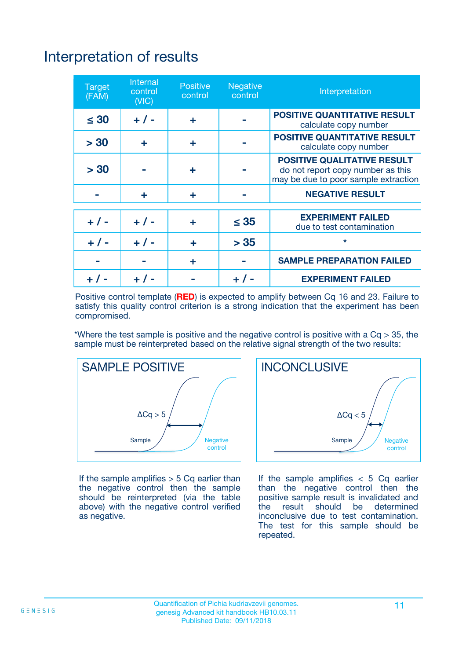# Interpretation of results

| <b>Target</b><br>(FAM) | <b>Internal</b><br>control<br>(NIC) | <b>Positive</b><br>control | <b>Negative</b><br>control | Interpretation                                                                                                  |
|------------------------|-------------------------------------|----------------------------|----------------------------|-----------------------------------------------------------------------------------------------------------------|
| $\leq 30$              | $+ 1 -$                             | ÷                          |                            | <b>POSITIVE QUANTITATIVE RESULT</b><br>calculate copy number                                                    |
| > 30                   | ٠                                   | ÷                          |                            | <b>POSITIVE QUANTITATIVE RESULT</b><br>calculate copy number                                                    |
| > 30                   |                                     | ÷                          |                            | <b>POSITIVE QUALITATIVE RESULT</b><br>do not report copy number as this<br>may be due to poor sample extraction |
|                        | ÷                                   | ÷                          |                            | <b>NEGATIVE RESULT</b>                                                                                          |
| $+ 1 -$                | $+ 1 -$                             | ÷                          | $\leq$ 35                  | <b>EXPERIMENT FAILED</b><br>due to test contamination                                                           |
| $+$ / -                | $+ 1 -$                             | ÷                          | > 35                       | $\star$                                                                                                         |
|                        |                                     | ÷                          |                            | <b>SAMPLE PREPARATION FAILED</b>                                                                                |
|                        |                                     |                            | $+$ /                      | <b>EXPERIMENT FAILED</b>                                                                                        |

Positive control template (**RED**) is expected to amplify between Cq 16 and 23. Failure to satisfy this quality control criterion is a strong indication that the experiment has been compromised.

\*Where the test sample is positive and the negative control is positive with a  $Ca > 35$ , the sample must be reinterpreted based on the relative signal strength of the two results:



If the sample amplifies  $> 5$  Cq earlier than the negative control then the sample should be reinterpreted (via the table above) with the negative control verified as negative.



If the sample amplifies  $< 5$  Cq earlier than the negative control then the positive sample result is invalidated and<br>the result should be determined  $the$  result should be inconclusive due to test contamination. The test for this sample should be repeated.